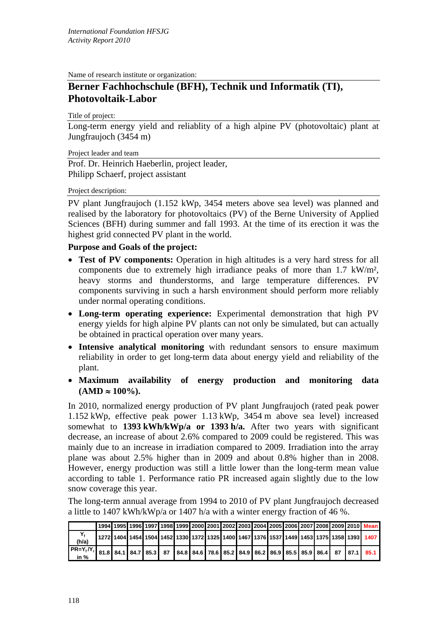Name of research institute or organization:

## **Berner Fachhochschule (BFH), Technik und Informatik (TI), Photovoltaik-Labor**

Title of project:

Long-term energy yield and reliablity of a high alpine PV (photovoltaic) plant at Jungfraujoch (3454 m)

Project leader and team

Prof. Dr. Heinrich Haeberlin, project leader, Philipp Schaerf, project assistant

## Project description:

PV plant Jungfraujoch (1.152 kWp, 3454 meters above sea level) was planned and realised by the laboratory for photovoltaics (PV) of the Berne University of Applied Sciences (BFH) during summer and fall 1993. At the time of its erection it was the highest grid connected PV plant in the world.

## **Purpose and Goals of the project:**

- **Test of PV components:** Operation in high altitudes is a very hard stress for all components due to extremely high irradiance peaks of more than 1.7 kW/m², heavy storms and thunderstorms, and large temperature differences. PV components surviving in such a harsh environment should perform more reliably under normal operating conditions.
- **Long-term operating experience:** Experimental demonstration that high PV energy yields for high alpine PV plants can not only be simulated, but can actually be obtained in practical operation over many years.
- **Intensive analytical monitoring** with redundant sensors to ensure maximum reliability in order to get long-term data about energy yield and reliability of the plant.
- **Maximum availability of energy production and monitoring data**   $(AMD \approx 100\%).$

In 2010, normalized energy production of PV plant Jungfraujoch (rated peak power 1.152 kWp, effective peak power 1.13 kWp, 3454 m above sea level) increased somewhat to **1393 kWh/kWp/a or 1393 h/a.** After two years with significant decrease, an increase of about 2.6% compared to 2009 could be registered. This was mainly due to an increase in irradiation compared to 2009. Irradiation into the array plane was about 2.5% higher than in 2009 and about 0.8% higher than in 2008. However, energy production was still a little lower than the long-term mean value according to table 1. Performance ratio PR increased again slightly due to the low snow coverage this year.

The long-term annual average from 1994 to 2010 of PV plant Jungfraujoch decreased a little to 1407 kWh/kWp/a or 1407 h/a with a winter energy fraction of 46 %.

|                        |  |  |  |  |  |  |  |  | 1994 1995 1996 1997 1998 1999 2000 2001 2002 2003 2004 2005 2006 2007 2008 2009 2010  Mean                                         |
|------------------------|--|--|--|--|--|--|--|--|------------------------------------------------------------------------------------------------------------------------------------|
| (h/a)                  |  |  |  |  |  |  |  |  | 1272  1404  1454  1504  1452  1330  1372  1325  1400  1467  1376  1537  1449  1453  1375  1358  1393  1407                         |
| $ PR=Y_f/Y_r $<br>in % |  |  |  |  |  |  |  |  | 81.8   84.1   84.7   85.3     87     84.8   84.6   78.6   85.2   84.9   86.2   86.9   85.5   85.9   86.4     87     87.1      85.1 |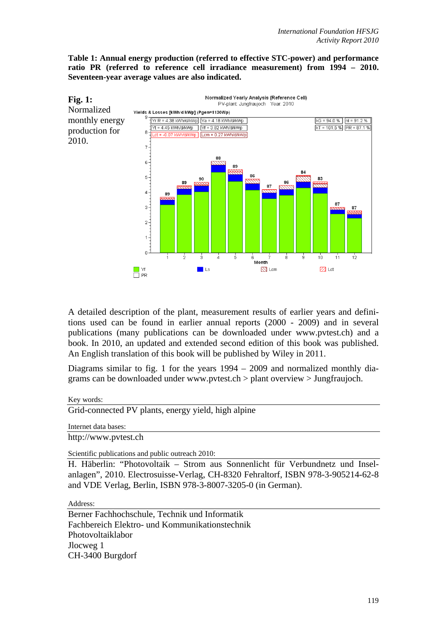**Table 1: Annual energy production (referred to effective STC-power) and performance ratio PR (referred to reference cell irradiance measurement) from 1994 – 2010. Seventeen-year average values are also indicated.** 



A detailed description of the plant, measurement results of earlier years and definitions used can be found in earlier annual reports (2000 - 2009) and in several publications (many publications can be downloaded under www.pvtest.ch) and a book. In 2010, an updated and extended second edition of this book was published. An English translation of this book will be published by Wiley in 2011.

Diagrams similar to fig. 1 for the years  $1994 - 2009$  and normalized monthly diagrams can be downloaded under www.pvtest.ch > plant overview > Jungfraujoch.

Key words:

Grid-connected PV plants, energy yield, high alpine

Internet data bases:

http://www.pvtest.ch

Scientific publications and public outreach 2010:

H. Häberlin: "Photovoltaik – Strom aus Sonnenlicht für Verbundnetz und Inselanlagen", 2010. Electrosuisse-Verlag, CH-8320 Fehraltorf, ISBN 978-3-905214-62-8 and VDE Verlag, Berlin, ISBN 978-3-8007-3205-0 (in German).

Address:

Berner Fachhochschule, Technik und Informatik Fachbereich Elektro- und Kommunikationstechnik Photovoltaiklabor Jlocweg 1 CH-3400 Burgdorf